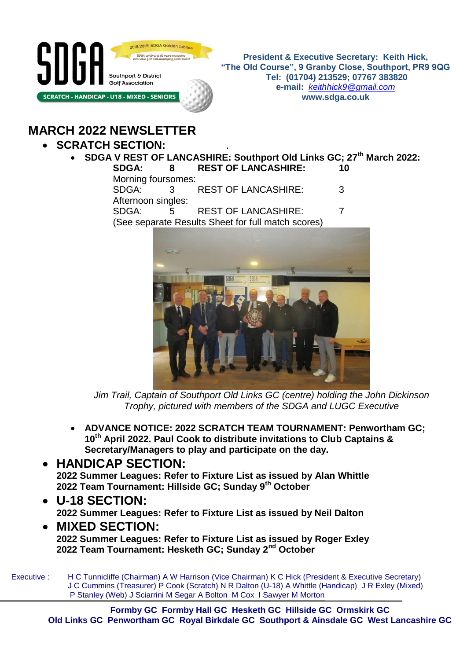

**President & Executive Secretary: Keith Hick, "The Old Course", 9 Granby Close, Southport, PR9 9QG Tel: (01704) 213529; 07767 383820 e-mail:** *[keithhick9@gmail.com](mailto:keithhick9@gmail.com)* **www.sdga.co.uk**

# **MARCH 2022 NEWSLETTER**

### **SCRATCH SECTION:** .

 **SDGA V REST OF LANCASHIRE: Southport Old Links GC; 27th March 2022: SDGA: 8 REST OF LANCASHIRE: 10**

Morning foursomes:

SDGA: 3 REST OF LANCASHIRE: 3 Afternoon singles: SDGA: 5 REST OF LANCASHIRE: 7 (See separate Results Sheet for full match scores)



*Jim Trail, Captain of Southport Old Links GC (centre) holding the John Dickinson Trophy, pictured with members of the SDGA and LUGC Executive*

- **ADVANCE NOTICE: 2022 SCRATCH TEAM TOURNAMENT: Penwortham GC; 10th April 2022. Paul Cook to distribute invitations to Club Captains & Secretary/Managers to play and participate on the day.**
- **HANDICAP SECTION: 2022 Summer Leagues: Refer to Fixture List as issued by Alan Whittle 2022 Team Tournament: Hillside GC; Sunday 9th October**
- **U-18 SECTION: 2022 Summer Leagues: Refer to Fixture List as issued by Neil Dalton**
- **MIXED SECTION: 2022 Summer Leagues: Refer to Fixture List as issued by Roger Exley 2022 Team Tournament: Hesketh GC; Sunday 2nd October**

Executive : H C Tunnicliffe (Chairman) A W Harrison (Vice Chairman) K C Hick (President & Executive Secretary) J C Cummins (Treasurer) P Cook (Scratch) N R Dalton (U-18) A Whittle (Handicap) J R Exley (Mixed) P Stanley (Web) J Sciarrini M Segar A Bolton M Cox I Sawyer M Morton

**Formby GC Formby Hall GC Hesketh GC Hillside GC Ormskirk GC Old Links GC Penwortham GC Royal Birkdale GC Southport & Ainsdale GC West Lancashire GC**